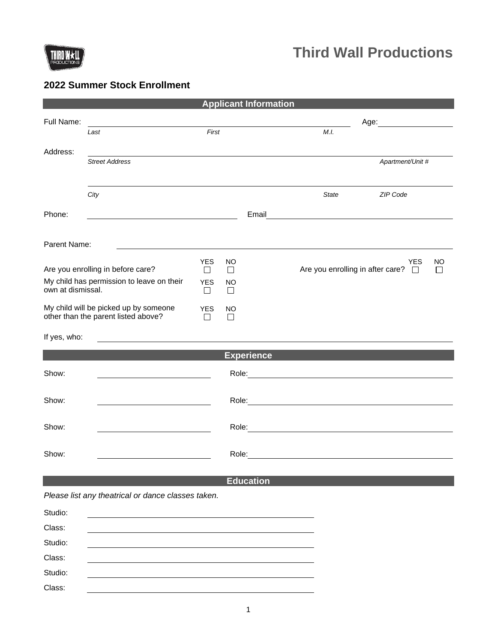

Class:

# **2022 Summer Stock Enrollment**

| <b>Applicant Information</b>                                   |                                                                    |                      |              |                  |              |                                              |  |
|----------------------------------------------------------------|--------------------------------------------------------------------|----------------------|--------------|------------------|--------------|----------------------------------------------|--|
| Full Name:                                                     |                                                                    |                      |              |                  |              |                                              |  |
|                                                                | Last                                                               | First                |              |                  | M.I.         |                                              |  |
| Address:                                                       |                                                                    |                      |              |                  |              |                                              |  |
|                                                                | <b>Street Address</b>                                              |                      |              |                  |              | Apartment/Unit #                             |  |
|                                                                |                                                                    |                      |              |                  |              |                                              |  |
|                                                                | City                                                               |                      |              |                  | <b>State</b> | ZIP Code                                     |  |
| Phone:                                                         | <u> 1980 - Johann Barbara, martxa amerikan personal (h. 1980).</u> |                      |              | Email            |              |                                              |  |
|                                                                |                                                                    |                      |              |                  |              |                                              |  |
| Parent Name:                                                   |                                                                    |                      |              |                  |              |                                              |  |
|                                                                |                                                                    | <b>YES</b>           | NO           |                  |              | <b>YES</b><br>NO                             |  |
| Are you enrolling in before care?                              |                                                                    | □                    | $\Box$       |                  |              | Are you enrolling in after care? $\Box$<br>П |  |
| My child has permission to leave on their<br>own at dismissal. |                                                                    | <b>YES</b><br>$\Box$ | NO<br>$\Box$ |                  |              |                                              |  |
| My child will be picked up by someone                          |                                                                    | <b>YES</b>           | NO           |                  |              |                                              |  |
| other than the parent listed above?                            |                                                                    | ⊔                    | □            |                  |              |                                              |  |
| If yes, who:                                                   |                                                                    |                      |              |                  |              |                                              |  |
| <b>Experience</b>                                              |                                                                    |                      |              |                  |              |                                              |  |
| Show:                                                          |                                                                    |                      |              |                  |              |                                              |  |
|                                                                |                                                                    |                      |              |                  |              |                                              |  |
| Show:                                                          |                                                                    |                      |              |                  |              |                                              |  |
|                                                                |                                                                    |                      |              |                  |              |                                              |  |
| Show:                                                          | <u> 1989 - Johann Barnett, fransk politiker (</u>                  |                      |              |                  |              |                                              |  |
| Show:                                                          |                                                                    |                      | Role:        |                  |              |                                              |  |
|                                                                |                                                                    |                      |              |                  |              |                                              |  |
|                                                                |                                                                    |                      |              | <b>Education</b> |              |                                              |  |
|                                                                | Please list any theatrical or dance classes taken.                 |                      |              |                  |              |                                              |  |
| Studio:                                                        |                                                                    |                      |              |                  |              |                                              |  |
| Class:                                                         |                                                                    |                      |              |                  |              |                                              |  |
| Studio:                                                        |                                                                    |                      |              |                  |              |                                              |  |
| Class:                                                         |                                                                    |                      |              |                  |              |                                              |  |
| Studio:                                                        |                                                                    |                      |              |                  |              |                                              |  |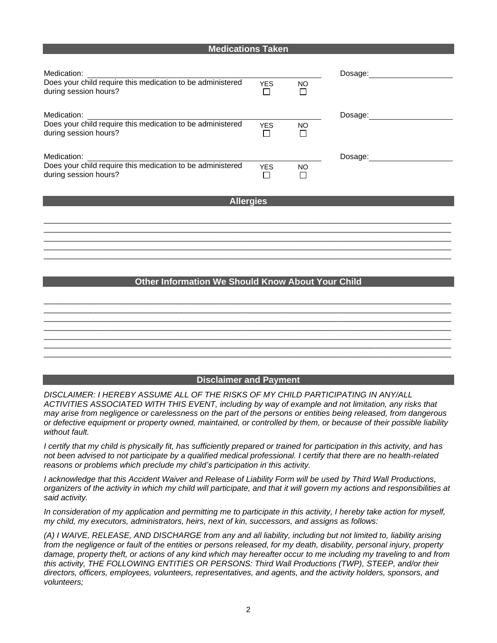#### **Medications Taken**

| Medication:<br>Does your child require this medication to be administered<br>during session hours? | <b>YES</b> | NO        | Dosage: |
|----------------------------------------------------------------------------------------------------|------------|-----------|---------|
| Medication:<br>Does your child require this medication to be administered<br>during session hours? | <b>YES</b> | NO        | Dosage: |
| Medication:<br>Does your child require this medication to be administered<br>during session hours? | <b>YES</b> | <b>NO</b> | Dosage: |

### **Allergies**

 $\overline{\phantom{a}}$  ,  $\overline{\phantom{a}}$  ,  $\overline{\phantom{a}}$  ,  $\overline{\phantom{a}}$  ,  $\overline{\phantom{a}}$  ,  $\overline{\phantom{a}}$  ,  $\overline{\phantom{a}}$  ,  $\overline{\phantom{a}}$  ,  $\overline{\phantom{a}}$  ,  $\overline{\phantom{a}}$  ,  $\overline{\phantom{a}}$  ,  $\overline{\phantom{a}}$  ,  $\overline{\phantom{a}}$  ,  $\overline{\phantom{a}}$  ,  $\overline{\phantom{a}}$  ,  $\overline{\phantom{a}}$  $\overline{\phantom{a}}$  ,  $\overline{\phantom{a}}$  ,  $\overline{\phantom{a}}$  ,  $\overline{\phantom{a}}$  ,  $\overline{\phantom{a}}$  ,  $\overline{\phantom{a}}$  ,  $\overline{\phantom{a}}$  ,  $\overline{\phantom{a}}$  ,  $\overline{\phantom{a}}$  ,  $\overline{\phantom{a}}$  ,  $\overline{\phantom{a}}$  ,  $\overline{\phantom{a}}$  ,  $\overline{\phantom{a}}$  ,  $\overline{\phantom{a}}$  ,  $\overline{\phantom{a}}$  ,  $\overline{\phantom{a}}$  $\overline{\phantom{a}}$  ,  $\overline{\phantom{a}}$  ,  $\overline{\phantom{a}}$  ,  $\overline{\phantom{a}}$  ,  $\overline{\phantom{a}}$  ,  $\overline{\phantom{a}}$  ,  $\overline{\phantom{a}}$  ,  $\overline{\phantom{a}}$  ,  $\overline{\phantom{a}}$  ,  $\overline{\phantom{a}}$  ,  $\overline{\phantom{a}}$  ,  $\overline{\phantom{a}}$  ,  $\overline{\phantom{a}}$  ,  $\overline{\phantom{a}}$  ,  $\overline{\phantom{a}}$  ,  $\overline{\phantom{a}}$  $\overline{\phantom{a}}$  ,  $\overline{\phantom{a}}$  ,  $\overline{\phantom{a}}$  ,  $\overline{\phantom{a}}$  ,  $\overline{\phantom{a}}$  ,  $\overline{\phantom{a}}$  ,  $\overline{\phantom{a}}$  ,  $\overline{\phantom{a}}$  ,  $\overline{\phantom{a}}$  ,  $\overline{\phantom{a}}$  ,  $\overline{\phantom{a}}$  ,  $\overline{\phantom{a}}$  ,  $\overline{\phantom{a}}$  ,  $\overline{\phantom{a}}$  ,  $\overline{\phantom{a}}$  ,  $\overline{\phantom{a}}$  $\overline{\phantom{a}}$  ,  $\overline{\phantom{a}}$  ,  $\overline{\phantom{a}}$  ,  $\overline{\phantom{a}}$  ,  $\overline{\phantom{a}}$  ,  $\overline{\phantom{a}}$  ,  $\overline{\phantom{a}}$  ,  $\overline{\phantom{a}}$  ,  $\overline{\phantom{a}}$  ,  $\overline{\phantom{a}}$  ,  $\overline{\phantom{a}}$  ,  $\overline{\phantom{a}}$  ,  $\overline{\phantom{a}}$  ,  $\overline{\phantom{a}}$  ,  $\overline{\phantom{a}}$  ,  $\overline{\phantom{a}}$ 

## **Other Information We Should Know About Your Child**

## $\overline{\phantom{a}}$  ,  $\overline{\phantom{a}}$  ,  $\overline{\phantom{a}}$  ,  $\overline{\phantom{a}}$  ,  $\overline{\phantom{a}}$  ,  $\overline{\phantom{a}}$  ,  $\overline{\phantom{a}}$  ,  $\overline{\phantom{a}}$  ,  $\overline{\phantom{a}}$  ,  $\overline{\phantom{a}}$  ,  $\overline{\phantom{a}}$  ,  $\overline{\phantom{a}}$  ,  $\overline{\phantom{a}}$  ,  $\overline{\phantom{a}}$  ,  $\overline{\phantom{a}}$  ,  $\overline{\phantom{a}}$  $\overline{\phantom{a}}$  ,  $\overline{\phantom{a}}$  ,  $\overline{\phantom{a}}$  ,  $\overline{\phantom{a}}$  ,  $\overline{\phantom{a}}$  ,  $\overline{\phantom{a}}$  ,  $\overline{\phantom{a}}$  ,  $\overline{\phantom{a}}$  ,  $\overline{\phantom{a}}$  ,  $\overline{\phantom{a}}$  ,  $\overline{\phantom{a}}$  ,  $\overline{\phantom{a}}$  ,  $\overline{\phantom{a}}$  ,  $\overline{\phantom{a}}$  ,  $\overline{\phantom{a}}$  ,  $\overline{\phantom{a}}$  $\overline{\phantom{a}}$  ,  $\overline{\phantom{a}}$  ,  $\overline{\phantom{a}}$  ,  $\overline{\phantom{a}}$  ,  $\overline{\phantom{a}}$  ,  $\overline{\phantom{a}}$  ,  $\overline{\phantom{a}}$  ,  $\overline{\phantom{a}}$  ,  $\overline{\phantom{a}}$  ,  $\overline{\phantom{a}}$  ,  $\overline{\phantom{a}}$  ,  $\overline{\phantom{a}}$  ,  $\overline{\phantom{a}}$  ,  $\overline{\phantom{a}}$  ,  $\overline{\phantom{a}}$  ,  $\overline{\phantom{a}}$  $\overline{\phantom{a}}$  ,  $\overline{\phantom{a}}$  ,  $\overline{\phantom{a}}$  ,  $\overline{\phantom{a}}$  ,  $\overline{\phantom{a}}$  ,  $\overline{\phantom{a}}$  ,  $\overline{\phantom{a}}$  ,  $\overline{\phantom{a}}$  ,  $\overline{\phantom{a}}$  ,  $\overline{\phantom{a}}$  ,  $\overline{\phantom{a}}$  ,  $\overline{\phantom{a}}$  ,  $\overline{\phantom{a}}$  ,  $\overline{\phantom{a}}$  ,  $\overline{\phantom{a}}$  ,  $\overline{\phantom{a}}$  $\overline{\phantom{a}}$  ,  $\overline{\phantom{a}}$  ,  $\overline{\phantom{a}}$  ,  $\overline{\phantom{a}}$  ,  $\overline{\phantom{a}}$  ,  $\overline{\phantom{a}}$  ,  $\overline{\phantom{a}}$  ,  $\overline{\phantom{a}}$  ,  $\overline{\phantom{a}}$  ,  $\overline{\phantom{a}}$  ,  $\overline{\phantom{a}}$  ,  $\overline{\phantom{a}}$  ,  $\overline{\phantom{a}}$  ,  $\overline{\phantom{a}}$  ,  $\overline{\phantom{a}}$  ,  $\overline{\phantom{a}}$  $\overline{\phantom{a}}$  ,  $\overline{\phantom{a}}$  ,  $\overline{\phantom{a}}$  ,  $\overline{\phantom{a}}$  ,  $\overline{\phantom{a}}$  ,  $\overline{\phantom{a}}$  ,  $\overline{\phantom{a}}$  ,  $\overline{\phantom{a}}$  ,  $\overline{\phantom{a}}$  ,  $\overline{\phantom{a}}$  ,  $\overline{\phantom{a}}$  ,  $\overline{\phantom{a}}$  ,  $\overline{\phantom{a}}$  ,  $\overline{\phantom{a}}$  ,  $\overline{\phantom{a}}$  ,  $\overline{\phantom{a}}$  $\overline{\phantom{a}}$  ,  $\overline{\phantom{a}}$  ,  $\overline{\phantom{a}}$  ,  $\overline{\phantom{a}}$  ,  $\overline{\phantom{a}}$  ,  $\overline{\phantom{a}}$  ,  $\overline{\phantom{a}}$  ,  $\overline{\phantom{a}}$  ,  $\overline{\phantom{a}}$  ,  $\overline{\phantom{a}}$  ,  $\overline{\phantom{a}}$  ,  $\overline{\phantom{a}}$  ,  $\overline{\phantom{a}}$  ,  $\overline{\phantom{a}}$  ,  $\overline{\phantom{a}}$  ,  $\overline{\phantom{a}}$

#### *Disclaimer and Payment* **Disclaimer and Payment**

*DISCLAIMER: I HEREBY ASSUME ALL OF THE RISKS OF MY CHILD PARTICIPATING IN ANY/ALL ACTIVITIES ASSOCIATED WITH THIS EVENT, including by way of example and not limitation, any risks that may arise from negligence or carelessness on the part of the persons or entities being released, from dangerous or defective equipment or property owned, maintained, or controlled by them, or because of their possible liability without fault.* 

*I certify that my child is physically fit, has sufficiently prepared or trained for participation in this activity, and has not been advised to not participate by a qualified medical professional. I certify that there are no health-related reasons or problems which preclude my child's participation in this activity.* 

*I acknowledge that this Accident Waiver and Release of Liability Form will be used by Third Wall Productions, organizers of the activity in which my child will participate, and that it will govern my actions and responsibilities at said activity.* 

*In consideration of my application and permitting me to participate in this activity, I hereby take action for myself, my child, my executors, administrators, heirs, next of kin, successors, and assigns as follows:* 

*(A) I WAIVE, RELEASE, AND DISCHARGE from any and all liability, including but not limited to, liability arising from the negligence or fault of the entities or persons released, for my death, disability, personal injury, property*  damage, property theft, or actions of any kind which may hereafter occur to me including my traveling to and from *this activity, THE FOLLOWING ENTITIES OR PERSONS: Third Wall Productions (TWP), STEEP, and/or their directors, officers, employees, volunteers, representatives, and agents, and the activity holders, sponsors, and volunteers;*